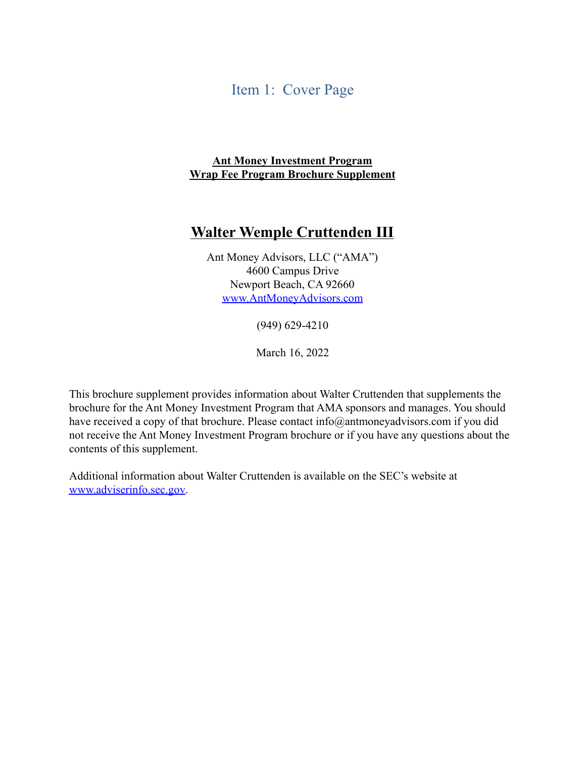#### Item 1: Cover Page

#### **Ant Money Investment Program Wrap Fee Program Brochure Supplement**

#### **Walter Wemple Cruttenden III**

Ant Money Advisors, LLC ("AMA") 4600 Campus Drive Newport Beach, CA 92660 [www.AntMoneyAdvisors.com](http://www.antmoneyadvisors.com/)

(949) 629-4210

March 16, 2022

This brochure supplement provides information about Walter Cruttenden that supplements the brochure for the Ant Money Investment Program that AMA sponsors and manages. You should have received a copy [of that brochure. Please contact](mailto:info@antmoneyadvisors.com) info@antmoneyadvisors.com if you did not receive the Ant Money Investment Program brochure or if you have any questions about the contents of this supplement.

Additional information about Walter Cruttenden is available on the SEC's website at [www.adviserinfo.sec.gov.](http://www.adviserinfo.sec.gov/)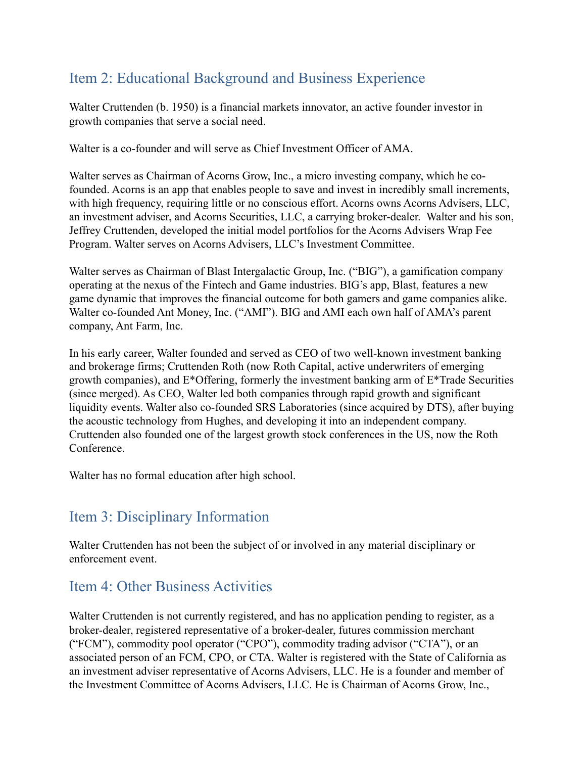# Item 2: Educational Background and Business Experience

Walter Cruttenden (b. 1950) is a financial markets innovator, an active founder investor in growth companies that serve a social need.

Walter is a co-founder and will serve as Chief Investment Officer of AMA.

Walter serves as Chairman of Acorns Grow, Inc., a micro investing company, which he cofounded. Acorns is an app that enables people to save and invest in incredibly small increments, with high frequency, requiring little or no conscious effort. Acorns owns Acorns Advisers, LLC, an investment adviser, and Acorns Securities, LLC, a carrying broker-dealer. Walter and his son, Jeffrey Cruttenden, developed the initial model portfolios for the Acorns Advisers Wrap Fee Program. Walter serves on Acorns Advisers, LLC's Investment Committee.

Walter serves as Chairman of Blast Intergalactic Group, Inc. ("BIG"), a gamification company operating at the nexus of the Fintech and Game industries. BIG's app, Blast, features a new game dynamic that improves the financial outcome for both gamers and game companies alike. Walter co-founded Ant Money, Inc. ("AMI"). BIG and AMI each own half of AMA's parent company, Ant Farm, Inc.

In his early career, Walter founded and served as CEO of two well-known investment banking and brokerage firms; Cruttenden Roth (now Roth Capital, active underwriters of emerging growth companies), and E\*Offering, formerly the investment banking arm of E\*Trade Securities (since merged). As CEO, Walter led both companies through rapid growth and significant liquidity events. Walter also co-founded SRS Laboratories (since acquired by DTS), after buying the acoustic technology from Hughes, and developing it into an independent company. Cruttenden also founded one of the largest growth stock conferences in the US, now the Roth **Conference** 

Walter has no formal education after high school.

## Item 3: Disciplinary Information

Walter Cruttenden has not been the subject of or involved in any material disciplinary or enforcement event.

## Item 4: Other Business Activities

Walter Cruttenden is not currently registered, and has no application pending to register, as a broker-dealer, registered representative of a broker-dealer, futures commission merchant ("FCM"), commodity pool operator ("CPO"), commodity trading advisor ("CTA"), or an associated person of an FCM, CPO, or CTA. Walter is registered with the State of California as an investment adviser representative of Acorns Advisers, LLC. He is a founder and member of the Investment Committee of Acorns Advisers, LLC. He is Chairman of Acorns Grow, Inc.,